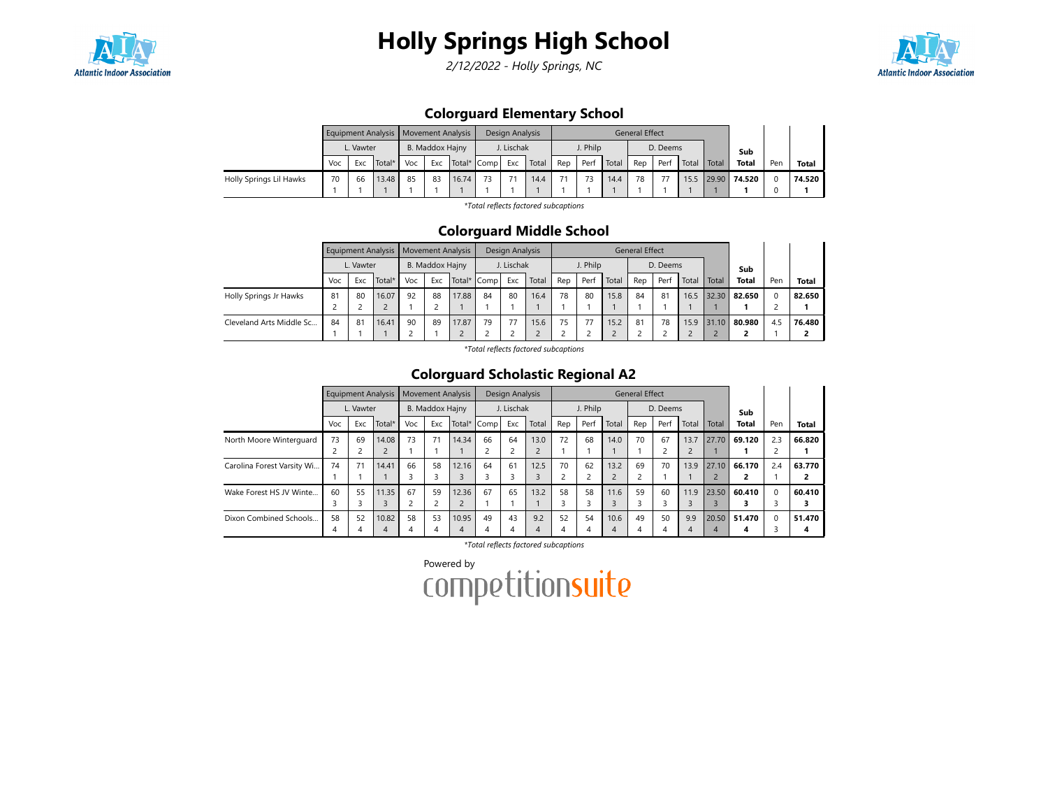

2/12/2022 - Holly Springs, NC



## Colorguard Elementary School

|                         |     |           | Equipment Analysis   Movement Analysis |     |                                |       |    | Design Analysis |       |     |          |       | General Effect |          |       |       |              |     |              |
|-------------------------|-----|-----------|----------------------------------------|-----|--------------------------------|-------|----|-----------------|-------|-----|----------|-------|----------------|----------|-------|-------|--------------|-----|--------------|
|                         |     | L. Vawter |                                        |     | B. Maddox Hajny<br>Total* Comp |       |    | J. Lischak      |       |     | J. Philp |       |                | D. Deems |       |       | Sub          |     |              |
|                         | Voc | Exc       | Total*                                 | Voc | Exc                            |       |    | Exc             | Total | Rep | Perf     | Total | Rep            | Perf     | Total | Total | <b>Total</b> | Pen | <b>Total</b> |
| Holly Springs Lil Hawks | 70  | 66        | 13.48                                  | 85  | 83                             | 16.74 | 73 |                 | 14.4  | 71  |          | 14.4  | 78             |          | 15.5  | 29.90 | 74.520       |     | 74.520       |
|                         |     |           |                                        |     |                                |       |    |                 |       |     |          |       |                |          |       |       |              |     |              |

\*Total reflects factored subcaptions

#### Colorguard Middle School

|                          |     |           | Equipment Analysis   Movement Analysis |     |                            |       |    | Design Analysis |       |     |          |       | <b>General Effect</b> |          |       |              |              |          |              |
|--------------------------|-----|-----------|----------------------------------------|-----|----------------------------|-------|----|-----------------|-------|-----|----------|-------|-----------------------|----------|-------|--------------|--------------|----------|--------------|
|                          |     | L. Vawter |                                        |     | B. Maddox Hajny<br>Exc     |       |    | J. Lischak      |       |     | J. Philp |       |                       | D. Deems |       |              | Sub          |          |              |
|                          | Voc | Exc       | Total*                                 | Voc |                            |       |    | Exc             | Total | Rep | Perf     | Total | Rep                   | Perf     | Total | <b>Total</b> | <b>Total</b> | Pen      | <b>Total</b> |
| Holly Springs Jr Hawks   | 81  | 80        | 16.07                                  | 92  | Total* Comp<br>88<br>17.88 |       | 84 | 80              | 16.4  | 78  | 80       | 15.8  | 84                    | 81       | 16.5  | 32.30        | 82.650       | $\Omega$ | 82.650       |
|                          |     |           |                                        |     |                            |       |    |                 |       |     |          |       |                       |          |       |              |              |          |              |
| Cleveland Arts Middle Sc | 84  | 81        | 16.41                                  | 90  | 89                         | 17.87 | 79 | 77              | 15.6  | 75  |          | 15.2  | 81                    | 78       | 15.9  | 31.10        | 80.980       | 4.5      | 76.480       |
|                          |     |           |                                        |     |                            |       |    |                 |       |     |          |       |                       |          |       |              |              |          |              |

\*Total reflects factored subcaptions

## Colorguard Scholastic Regional A2

|                            |     |           | <b>Equipment Analysis</b> |     | <b>Movement Analysis</b> |        |      | Design Analysis |       |                |          |       | <b>General Effect</b> |          |                |            |              |          |        |
|----------------------------|-----|-----------|---------------------------|-----|--------------------------|--------|------|-----------------|-------|----------------|----------|-------|-----------------------|----------|----------------|------------|--------------|----------|--------|
|                            |     | L. Vawter |                           |     | B. Maddox Hajny          |        |      | J. Lischak      |       |                | J. Philp |       |                       | D. Deems |                |            | Sub          |          |        |
|                            | Voc | Exc       | Total*                    | Voc | Exc                      | Total* | Comp | Exc             | Total | Rep            | Perf     | Total | Rep                   | Perf     | Total          | Total      | <b>Total</b> | Pen      | Total  |
| North Moore Winterguard    | 73  | 69        | 14.08                     | 73  | 71                       | 14.34  | 66   | 64              | 13.0  | 72             | 68       | 14.0  | 70                    | 67       | 13.7           | 27.70      | 69.120       | 2.3      | 66.820 |
|                            |     |           |                           |     |                          |        |      |                 |       |                |          |       |                       |          |                |            |              |          |        |
| Carolina Forest Varsity Wi | 74  | 71        | 14.41                     | 66  | 58                       | 12.16  | 64   | 61              | 12.5  | 70             | 62       | 13.2  | 69                    | 70       | 13.9           | 27.10      | 66.170       | 2.4      | 63.770 |
|                            |     |           |                           |     | 3                        |        |      |                 |       | $\overline{c}$ |          |       |                       |          |                | $\epsilon$ |              |          |        |
| Wake Forest HS JV Winte    | 60  | 55        | 11.35                     | 67  | 59                       | 12.36  | 67   | 65              | 13.2  | 58             | 58       | 11.6  | 59                    | 60       | 11.9           | 23.50      | 60.410       |          | 60.410 |
|                            |     |           |                           | ∍   |                          |        |      |                 |       |                |          |       |                       | ≺        | 3              |            |              |          |        |
| Dixon Combined Schools     | 58  | 52        | 10.82                     | 58  | 53                       | 10.95  | 49   | 43              | 9.2   | 52             | 54       | 10.6  | 49                    | 50       | 9.9            | 20.50      | 51.470       | $\Omega$ | 51.470 |
|                            | 4   |           | 4                         | 4   | 4                        | 4      |      | 4               | 4     | $\overline{4}$ | 4        |       | 4                     | 4        | $\overline{4}$ |            | 4            |          |        |

\*Total reflects factored subcaptions

Powered by<br>COMPetitionsuite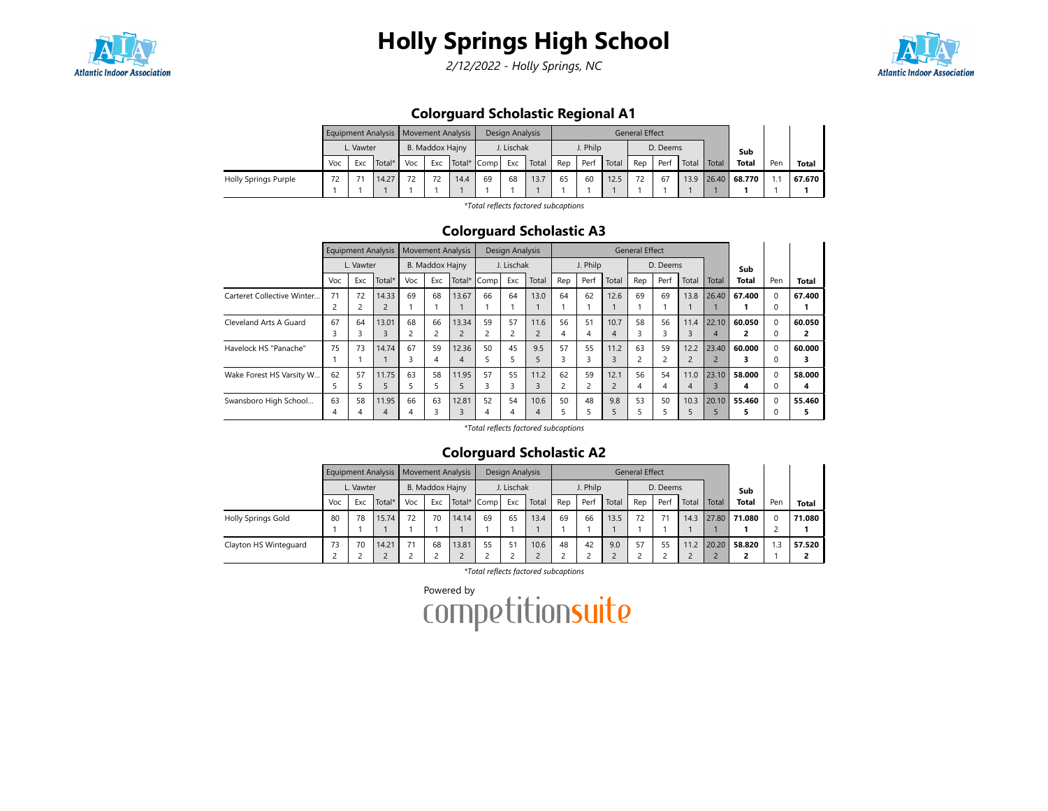

2/12/2022 - Holly Springs, NC



## Colorguard Scholastic Regional A1

|                      |     |           | Equipment Analysis   Movement Analysis |     |                 |        |      | Design Analysis |       |     |          |       | <b>General Effect</b> |          |       |       |              |     |              |
|----------------------|-----|-----------|----------------------------------------|-----|-----------------|--------|------|-----------------|-------|-----|----------|-------|-----------------------|----------|-------|-------|--------------|-----|--------------|
|                      |     | L. Vawter |                                        |     | B. Maddox Hajny |        |      | J. Lischak      |       |     | J. Philp |       |                       | D. Deems |       |       | Sub          |     |              |
|                      | Voc | Exc       | Total*                                 | Voc | Exc             | Total* | Comp | Exc             | Total | Rep | Perf     | Total | Rep                   | Perf     | Total | Total | Total        | Pen | <b>Total</b> |
| Holly Springs Purple | 72  |           | 14.27                                  | 72  | 72              | 14.4   | 69   | 68              | 13.7  | 65  | 60       | 12.5  | 72                    | 67       | 13.9  |       | 26.40 68.770 |     | 67.670       |
|                      |     |           |                                        |     |                 |        |      |                 |       |     |          |       |                       |          |       |       |              |     |              |

\*Total reflects factored subcaptions

### Colorguard Scholastic A3

|                            |     | <b>Equipment Analysis</b> |                |     | <b>Movement Analysis</b> |        |      | Design Analysis |                |     |                |                | <b>General Effect</b> |          |                |                |              |          |        |
|----------------------------|-----|---------------------------|----------------|-----|--------------------------|--------|------|-----------------|----------------|-----|----------------|----------------|-----------------------|----------|----------------|----------------|--------------|----------|--------|
|                            |     | L. Vawter                 |                |     | B. Maddox Hajny          |        |      | J. Lischak      |                |     | J. Philp       |                |                       | D. Deems |                |                | Sub          |          |        |
|                            | Voc | Exc                       | Total*         | Voc | Exc                      | Total* | Comp | Exc             | Total          | Rep | Perf           | Total          | Rep                   | Perf     | Total          | Total          | <b>Total</b> | Pen      | Total  |
| Carteret Collective Winter | 71  | 72                        | 14.33          | 69  | 68                       | 13.67  | 66   | 64              | 13.0           | 64  | 62             | 12.6           | 69                    | 69       | 13.8           | 26.40          | 67.400       | $\Omega$ | 67.400 |
|                            |     | $\epsilon$                | $\overline{2}$ |     |                          |        |      |                 |                |     |                |                |                       |          |                |                |              | $\Omega$ |        |
| Cleveland Arts A Guard     | 67  | 64                        | 13.01          | 68  | 66                       | 13.34  | 59   | 57              | 11.6           | 56  | 51             | 10.7           | 58                    | 56       | 11.4           | 22.10          | 60.050       | $\Omega$ | 60.050 |
|                            |     |                           | 3              |     | $\overline{2}$           |        |      |                 | $\overline{2}$ | 4   | 4              | $\overline{4}$ | З                     |          | 3              | $\overline{A}$ |              | $\Omega$ | 2      |
| Havelock HS "Panache"      | 75  | 73                        | 14.74          | 67  | 59                       | 12.36  | 50   | 45              | 9.5            | 57  | 55             | 11.2           | 63                    | 59       | 12.2           | 23.40          | 60.000       | $\Omega$ | 60.000 |
|                            |     |                           |                | 3   | 4                        | 4      |      |                 | C.             | 3   |                | 3              |                       |          | $\overline{c}$ | $\overline{2}$ |              | $\Omega$ | 3      |
| Wake Forest HS Varsity W   | 62  | 57                        | 11.75          | 63  | 58                       | 11.95  | 57   | 55              | 11.2           | 62  | 59             | 12.1           | 56                    | 54       | 11.0           | 23.10          | 58.000       | $\Omega$ | 58.000 |
|                            |     |                           | 5              | 5   | 5                        |        | 3    | n.              | 3              | 2   | $\overline{c}$ | $\overline{c}$ | 4                     |          | 4              | 3              | 4            | $\Omega$ | 4      |
| Swansboro High School      | 63  | 58                        | 11.95          | 66  | 63                       | 12.81  | 52   | 54              | 10.6           | 50  | 48             | 9.8            | 53                    | 50       | 10.3           | 20.10          | 55.460       | $\Omega$ | 55.460 |
|                            | 4   |                           | 4              | 4   | 3                        | 3      |      |                 | 4              | 5   |                | 5              |                       |          | ב              |                |              |          | 5      |

\*Total reflects factored subcaptions

#### Colorguard Scholastic A2

|                       |     |           | Equipment Analysis   Movement Analysis |     |                 |       |             | Design Analysis |       |     |          |       | <b>General Effect</b> |          |       |       |              |     |        |
|-----------------------|-----|-----------|----------------------------------------|-----|-----------------|-------|-------------|-----------------|-------|-----|----------|-------|-----------------------|----------|-------|-------|--------------|-----|--------|
|                       |     | L. Vawter |                                        |     | B. Maddox Hajny |       |             | J. Lischak      |       |     | J. Philp |       |                       | D. Deems |       |       | Sub          |     |        |
|                       | Voc | Exc       | Total*                                 | Voc | Exc             |       | Total* Comp | Exc             | Total | Rep | Perf     | Total | Rep                   | Perf     | Total | Total | <b>Total</b> | Pen | Total  |
| Holly Springs Gold    | 80  | 78        | 15.74                                  | 72  | 70              | 14.14 | 69          | 65              | 13.4  | 69  | 66       | 13.5  | 72                    | 71       | 14.3  | 27.80 | 71.080       | 0   | 71.080 |
|                       |     |           |                                        |     |                 |       |             |                 |       |     |          |       |                       |          |       |       |              |     |        |
| Clayton HS Winteguard | 73  | 70        | 14.21                                  | 71  | 68              | 13.81 | 55          | 51              | 10.6  | 48  | 42       | 9.0   | 57                    | 55       | 11.2  | 20.20 | 58.820       | 1.3 | 57.520 |
|                       |     |           |                                        |     |                 |       |             |                 |       | ے   |          |       |                       |          |       |       |              |     |        |

\*Total reflects factored subcaptions

Powered by<br>COMPetitionsuite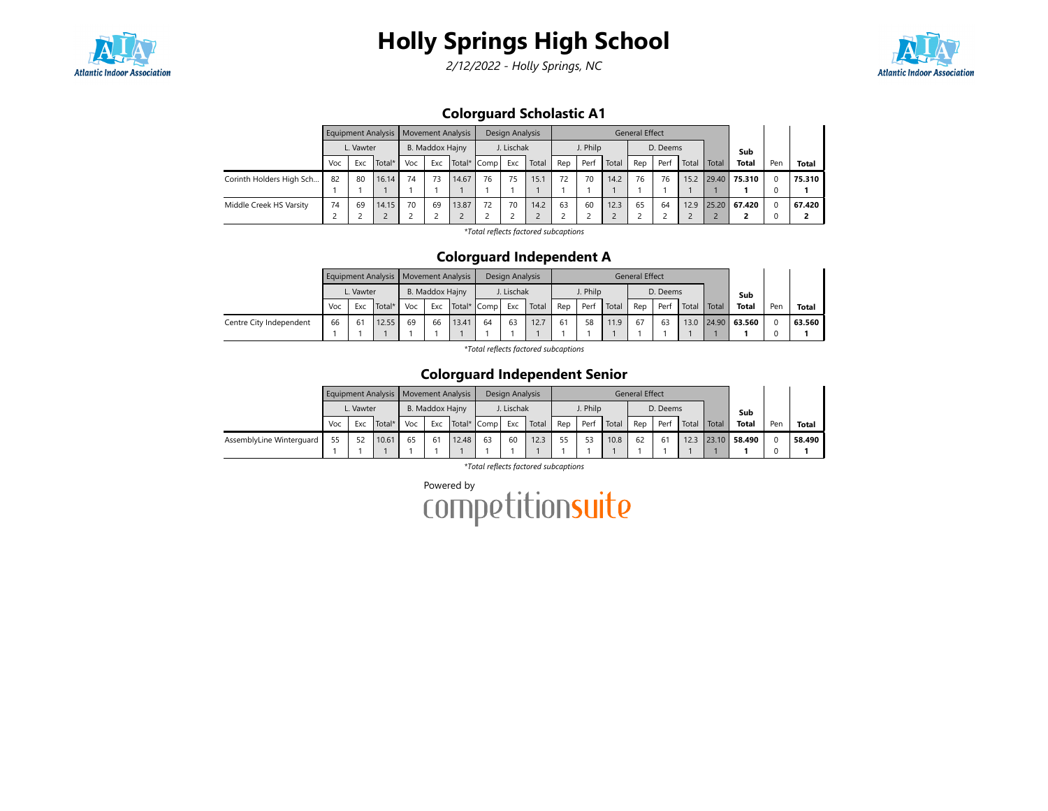



2/12/2022 - Holly Springs, NC



## Colorguard Scholastic A1

|                          |     |           | Equipment Analysis   Movement Analysis |     |                                       |       |    | Design Analysis |       |     |          |       | <b>General Effect</b> |          |       |       |              |     |              |
|--------------------------|-----|-----------|----------------------------------------|-----|---------------------------------------|-------|----|-----------------|-------|-----|----------|-------|-----------------------|----------|-------|-------|--------------|-----|--------------|
|                          |     | L. Vawter |                                        |     | B. Maddox Hajny<br>Exc<br>Total* Comp |       |    | J. Lischak      |       |     | J. Philp |       |                       | D. Deems |       |       | Sub          |     |              |
|                          | Voc | Exc       | Total*                                 | Voc |                                       |       |    | Exc             | Total | Rep | Perf     | Total | Rep                   | Perf     | Total | Total | <b>Total</b> | Pen | <b>Total</b> |
| Corinth Holders High Sch | 82  | 80        | 16.14                                  | 74  | 73                                    | 14.67 | 76 | 75              | 15.1  | 72  | 70       | 14.2  | 76                    | 76       | 15.2  | 29.40 | 75.310       |     | 75.310       |
|                          |     |           |                                        |     |                                       |       |    |                 |       |     |          |       |                       |          |       |       |              |     |              |
| Middle Creek HS Varsity  | 74  | 69        | 14.15                                  | 70  | 69                                    | 13.87 | 72 | 70              | 14.2  | 63  | 60       | 12.3  | 65                    | 64       | 12.9  |       | 25.20 67.420 |     | 67.420       |
|                          |     |           |                                        |     |                                       |       |    |                 |       |     |          |       |                       |          |       |       |              |     |              |

\*Total reflects factored subcaptions

#### Colorguard Independent A

|                         |     |           | Equipment Analysis   Movement Analysis |     |                                |       |    | Design Analysis |       |     |          |       | General Effect |          |               |       |              |     |              |
|-------------------------|-----|-----------|----------------------------------------|-----|--------------------------------|-------|----|-----------------|-------|-----|----------|-------|----------------|----------|---------------|-------|--------------|-----|--------------|
|                         |     | L. Vawter |                                        |     | B. Maddox Hajny<br>Total* Comp |       |    | I. Lischak      |       |     | J. Philp |       |                | D. Deems |               |       | Sub          |     |              |
|                         | Voc | Exc.      | Total*                                 | Voc | Exc                            |       |    | Exc             | Total | Rep | Perf     | Total | Rep            | Perf     | Total   Total |       | <b>Total</b> | Pen | <b>Total</b> |
| Centre City Independent | 66  | -61       | 12.55                                  | 69  | 66                             | 13.41 | 64 | 63              | 12.7  | 61  | 58       | 11.9  | 67             | 63       | 13.0          | 24.90 | 63.560       |     | 63.560       |
|                         |     |           |                                        |     |                                |       |    |                 |       |     |          |       |                |          |               |       |              |     |              |

\*Total reflects factored subcaptions

#### Colorguard Independent Senior

|                          |     |           | Equipment Analysis   Movement Analysis |     |                                |       |    | Design Analysis |       |     |          |       | General Effect |          |       |       |              |     |              |
|--------------------------|-----|-----------|----------------------------------------|-----|--------------------------------|-------|----|-----------------|-------|-----|----------|-------|----------------|----------|-------|-------|--------------|-----|--------------|
|                          |     | L. Vawter |                                        |     | B. Maddox Hajny<br>Total* Comp |       |    | J. Lischak      |       |     | J. Philp |       |                | D. Deems |       |       | Sub          |     |              |
|                          | Voc | Exc       | Total*                                 | Voc | Exc                            |       |    | Exc             | Total | Rep | Per      | Total | Rep            | Per      | Total | Total | <b>Total</b> | Pen | <b>Total</b> |
| AssemblyLine Winterguard |     | 52        | 10.61                                  | 65  | 61                             | 12.48 | 63 | 60              | 12.3  | 55  | 53       | 10.8  | 62             | 61       | 12.3  | 23.10 | 58.490       |     | 58.490       |
|                          |     |           |                                        |     |                                |       |    |                 |       |     |          |       |                |          |       |       |              |     |              |

\*Total reflects factored subcaptions

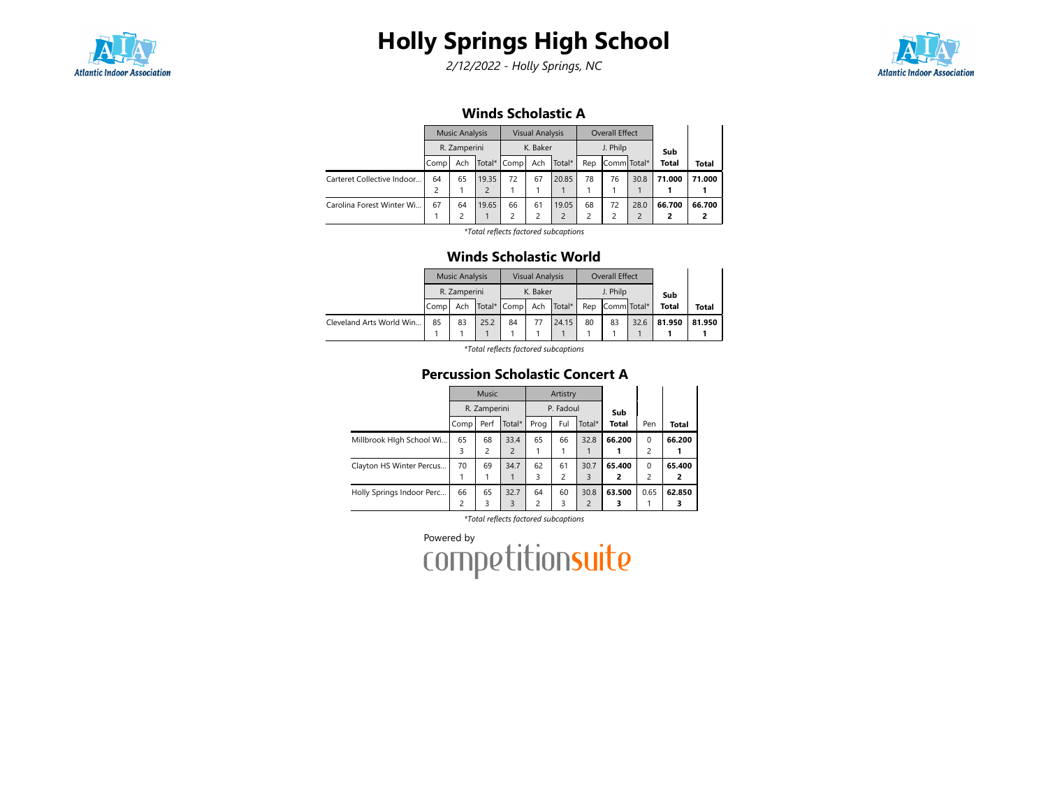

2/12/2022 - Holly Springs, NC



#### Winds Scholastic A

|                            |      | <b>Music Analysis</b> |       |             | <b>Visual Analysis</b> |        |     | <b>Overall Effect</b> |      |              |        |
|----------------------------|------|-----------------------|-------|-------------|------------------------|--------|-----|-----------------------|------|--------------|--------|
|                            |      | R. Zamperini          |       |             | K. Baker               |        |     | J. Philp              |      | Sub          |        |
|                            | Comp | Ach                   |       | Total* Comp | Ach                    | Total* | Rep | Comm Total*           |      | <b>Total</b> | Total  |
| Carteret Collective Indoor | 64   | 65                    | 19.35 | 72          | 67                     | 20.85  | 78  | 76                    | 30.8 | 71.000       | 71.000 |
|                            |      |                       |       |             |                        |        |     |                       |      |              |        |
| Carolina Forest Winter Wi  | 67   | 64                    | 19.65 | 66          | 61                     | 19.05  | 68  | 72                    | 28.0 | 66.700       | 66.700 |
|                            |      | $\mathcal{P}$         |       | 2           | 2                      |        | 2   |                       | 2    |              |        |
|                            |      |                       |       |             |                        |        |     |                       |      |              |        |

\*Total reflects factored subcaptions

#### Winds Scholastic World

|                          |                  | <b>Music Analysis</b> |  |                     | <b>Visual Analysis</b> |            |     | Overall Effect |      |              |        |
|--------------------------|------------------|-----------------------|--|---------------------|------------------------|------------|-----|----------------|------|--------------|--------|
|                          |                  | R. Zamperini          |  |                     | K. Baker               |            |     | J. Philp       |      | Sub          |        |
|                          | l Comp           |                       |  | Ach   Total*   Comp |                        | Ach Total* | Rep | Comm Total*    |      | <b>Total</b> | Total  |
| Cleveland Arts World Win | 85<br>83<br>25.2 |                       |  | 84                  | 77                     | 24.15      | 80  | 83             | 32.6 | 81.950       | 81.950 |
|                          |                  |                       |  |                     |                        |            |     |                |      |              |        |

\*Total reflects factored subcaptions

## Percussion Scholastic Concert A

|                           |      | <b>Music</b> |                |                         | Artistry       |                |              |                |        |
|---------------------------|------|--------------|----------------|-------------------------|----------------|----------------|--------------|----------------|--------|
|                           |      | R. Zamperini |                |                         | P. Fadoul      |                | Sub          |                |        |
|                           | Comp | Perf         | Total*         | Prog                    | Ful            | Total*         | <b>Total</b> | Pen            | Total  |
| Millbrook Hlgh School Wi  | 65   | 68           | 33.4           | 65                      | 66             | 32.8           | 66.200       | $\Omega$       | 66.200 |
|                           | 3    | 2            | $\overline{2}$ |                         |                |                |              | 2              |        |
| Clayton HS Winter Percus  | 70   | 69           | 34.7           | 62                      | 61             | 30.7           | 65.400       | $\Omega$       | 65.400 |
|                           |      |              |                | 3                       | $\overline{2}$ | 3              | 2            | $\overline{c}$ | 2      |
| Holly Springs Indoor Perc | 66   | 65           | 32.7           | 64                      | 60             | 30.8           | 63.500       | 0.65           | 62.850 |
|                           | 2    | 3            | 3              | $\overline{\mathbf{c}}$ | 3              | $\overline{2}$ |              |                |        |

\*Total reflects factored subcaptions

Powered by<br>COMPetitionsuite